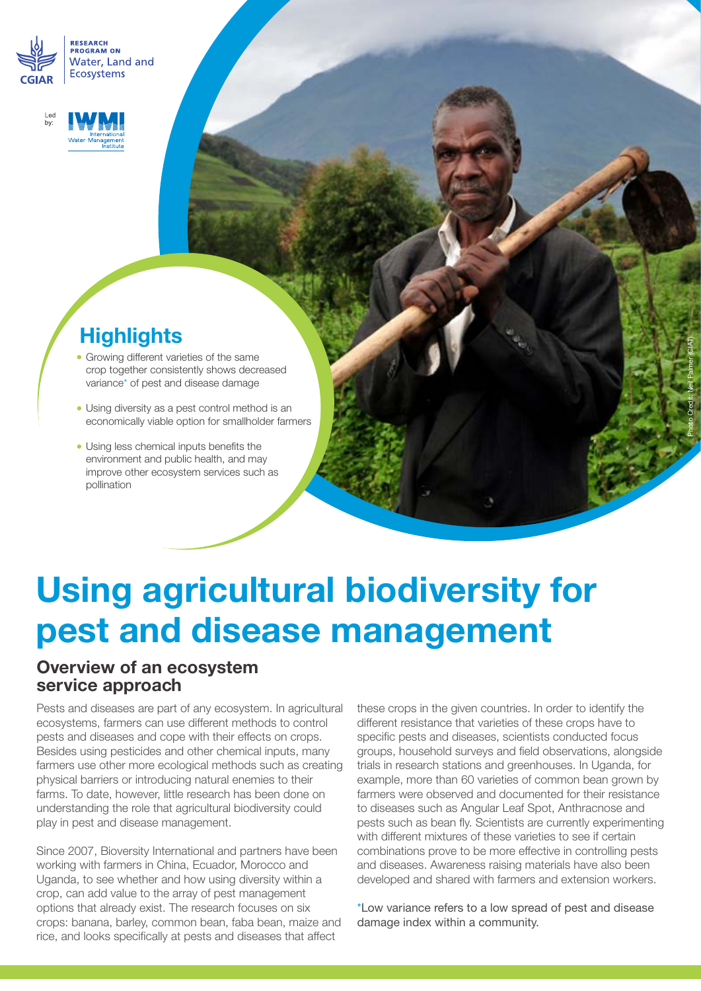

**RESEARCH<br>PROGRAM ON** water, Land and **Ecosystems** 



### **Highlights**

- **Growing different varieties of the same** crop together consistently shows decreased variance\* of pest and disease damage
- Using diversity as a pest control method is an economically viable option for smallholder farmers
- Using less chemical inputs benefits the environment and public health, and may improve other ecosystem services such as pollination

# **Using agricultural biodiversity for pest and disease management**

### **Overview of an ecosystem service approach**

Pests and diseases are part of any ecosystem. In agricultural ecosystems, farmers can use different methods to control pests and diseases and cope with their effects on crops. Besides using pesticides and other chemical inputs, many farmers use other more ecological methods such as creating physical barriers or introducing natural enemies to their farms. To date, however, little research has been done on understanding the role that agricultural biodiversity could play in pest and disease management.

Since 2007, Bioversity International and partners have been working with farmers in China, Ecuador, Morocco and Uganda, to see whether and how using diversity within a crop, can add value to the array of pest management options that already exist. The research focuses on six crops: banana, barley, common bean, faba bean, maize and rice, and looks specifically at pests and diseases that affect

these crops in the given countries. In order to identify the different resistance that varieties of these crops have to specific pests and diseases, scientists conducted focus groups, household surveys and field observations, alongside trials in research stations and greenhouses. In Uganda, for example, more than 60 varieties of common bean grown by farmers were observed and documented for their resistance to diseases such as Angular Leaf Spot, Anthracnose and pests such as bean fly. Scientists are currently experimenting with different mixtures of these varieties to see if certain combinations prove to be more effective in controlling pests and diseases. Awareness raising materials have also been developed and shared with farmers and extension workers.

Photo Credit: Neil Palmer (CIAT)

Low variance refers to a low spread of pest and disease \* damage index within a community.